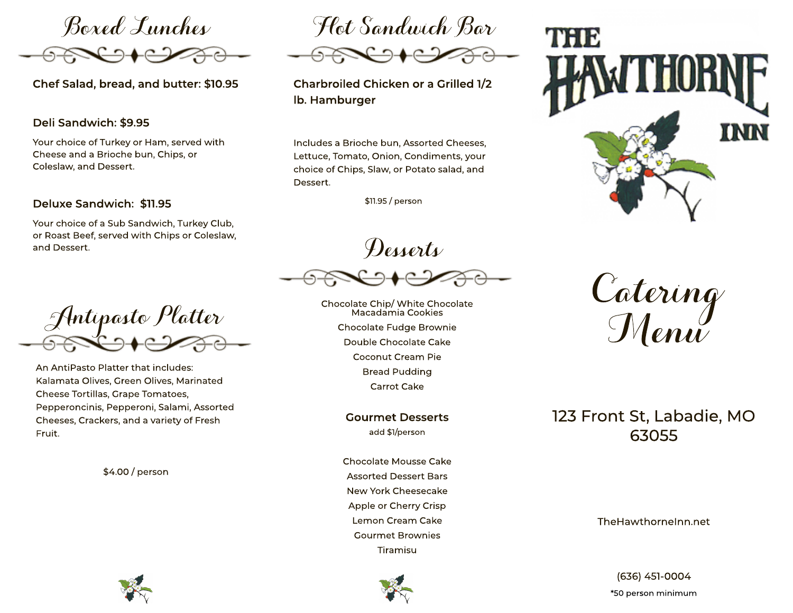

Chef Salad, bread, and butter: \$10.95

## Deli Sandwich: \$9.95

Your choice of Turkey or Ham, served with Cheese and a Brioche bun, Chips, or Coleslaw, and Dessert.

### Deluxe Sandwich: \$11.95

Your choice of a Sub Sandwich, Turkey Club, or Roast Beef, served with Chips or Coleslaw, and Dessert.

Antipasto Platter

An AntiPasto Platter that includes: Kalamata Olives, Green Olives, Marinated Cheese Tortillas, Grape Tomatoes, Pepperoncinis, Pepperoni, Salami, Assorted Cheeses, Crackers, and a variety of Fresh Fruit.

\$4.00 / person

Hot Sandwich Bar

Charbroiled Chicken or a Grilled 1/2 Ib. Hamburger

Includes a Brioche bun, Assorted Cheeses, Lettuce, Tomato, Onion, Condiments, your choice of Chips, Slaw, or Potato salad, and Dessert.

\$11.95 / person

Desserts

Chocolate Chip/ White Chocolate Macadamia Cookies Chocolate Fudge Brownie Double Chocolate Cake Coconut Cream Pie **Bread Pudding Carrot Cake** 

> **Gourmet Desserts** add \$1/person

Chocolate Mousse Cake **Assorted Dessert Bars** New York Cheesecake Apple or Cherry Crisp Lemon Cream Cake **Gourmet Brownies** Tiramisu





Catering<br>Menu

# 123 Front St, Labadie, MO 63055

The Hawthornelnn.net

(636) 451-0004 \*50 person minimum